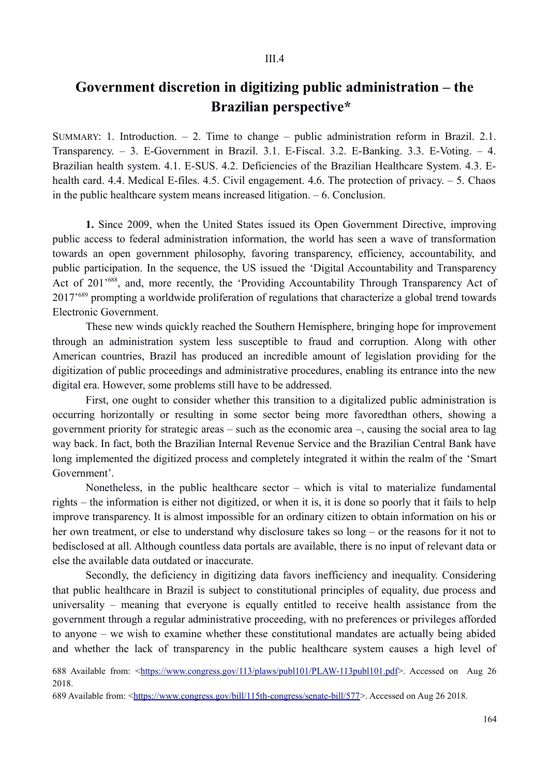## **Government discretion in digitizing public administration – the Brazilian perspective\***

SUMMARY: 1. Introduction.  $-2$ . Time to change – public administration reform in Brazil. 2.1. Transparency. – 3. E-Government in Brazil. 3.1. E-Fiscal. 3.2. E-Banking. 3.3. E-Voting. – 4. Brazilian health system. 4.1. E-SUS. 4.2. Deficiencies of the Brazilian Healthcare System. 4.3. Ehealth card. 4.4. Medical E-files. 4.5. Civil engagement. 4.6. The protection of privacy. – 5. Chaos in the public healthcare system means increased litigation. – 6. Conclusion.

**1.** Since 2009, when the United States issued its Open Government Directive, improving public access to federal administration information, the world has seen a wave of transformation towards an open government philosophy, favoring transparency, efficiency, accountability, and public participation. In the sequence, the US issued the 'Digital Accountability and Transparency Act of 201<sup>'688</sup>, and, more recently, the 'Providing Accountability Through Transparency Act of 2017'689 prompting a worldwide proliferation of regulations that characterize a global trend towards Electronic Government.

These new winds quickly reached the Southern Hemisphere, bringing hope for improvement through an administration system less susceptible to fraud and corruption. Along with other American countries, Brazil has produced an incredible amount of legislation providing for the digitization of public proceedings and administrative procedures, enabling its entrance into the new digital era. However, some problems still have to be addressed.

First, one ought to consider whether this transition to a digitalized public administration is occurring horizontally or resulting in some sector being more favoredthan others, showing a government priority for strategic areas – such as the economic area –, causing the social area to lag way back. In fact, both the Brazilian Internal Revenue Service and the Brazilian Central Bank have long implemented the digitized process and completely integrated it within the realm of the 'Smart Government'.

Nonetheless, in the public healthcare sector – which is vital to materialize fundamental rights – the information is either not digitized, or when it is, it is done so poorly that it fails to help improve transparency. It is almost impossible for an ordinary citizen to obtain information on his or her own treatment, or else to understand why disclosure takes so long – or the reasons for it not to bedisclosed at all. Although countless data portals are available, there is no input of relevant data or else the available data outdated or inaccurate.

Secondly, the deficiency in digitizing data favors inefficiency and inequality. Considering that public healthcare in Brazil is subject to constitutional principles of equality, due process and universality – meaning that everyone is equally entitled to receive health assistance from the government through a regular administrative proceeding, with no preferences or privileges afforded to anyone – we wish to examine whether these constitutional mandates are actually being abided and whether the lack of transparency in the public healthcare system causes a high level of

<sup>688</sup> Available from: <https://www.congress.gov/113/plaws/publ101/PLAW-113publ101.pdf>. Accessed on Aug 26 2018.

<sup>689</sup> Available from: <https://www.congress.gov/bill/115th-congress/senate-bill/577>. Accessed on Aug 26 2018.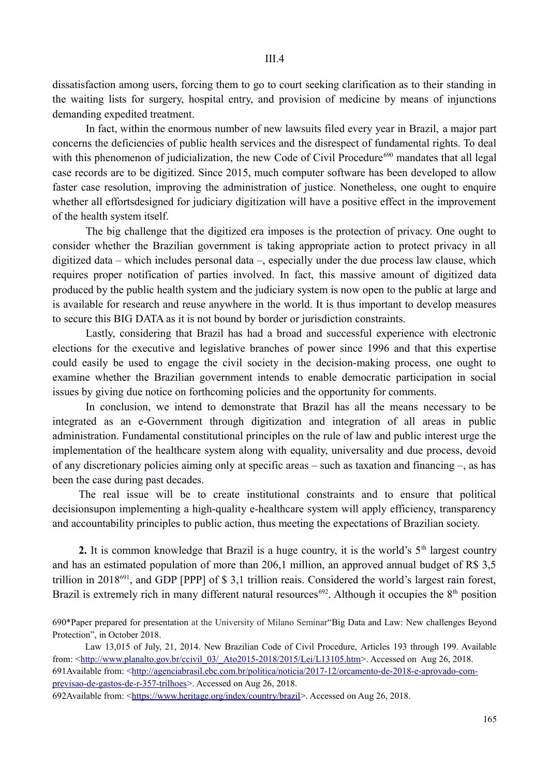dissatisfaction among users, forcing them to go to court seeking clarification as to their standing in the waiting lists for surgery, hospital entry, and provision of medicine by means of injunctions demanding expedited treatment.

In fact, within the enormous number of new lawsuits filed every year in Brazil, a major part concerns the deficiencies of public health services and the disrespect of fundamental rights. To deal with this phenomenon of judicialization, the new Code of Civil Procedure<sup>690</sup> mandates that all legal case records are to be digitized. Since 2015, much computer software has been developed to allow faster case resolution, improving the administration of justice. Nonetheless, one ought to enquire whether all effortsdesigned for judiciary digitization will have a positive effect in the improvement of the health system itself.

The big challenge that the digitized era imposes is the protection of privacy. One ought to consider whether the Brazilian government is taking appropriate action to protect privacy in all digitized data – which includes personal data –, especially under the due process law clause, which requires proper notification of parties involved. In fact, this massive amount of digitized data produced by the public health system and the judiciary system is now open to the public at large and is available for research and reuse anywhere in the world. It is thus important to develop measures to secure this BIG DATA as it is not bound by border or jurisdiction constraints.

Lastly, considering that Brazil has had a broad and successful experience with electronic elections for the executive and legislative branches of power since 1996 and that this expertise could easily be used to engage the civil society in the decision-making process, one ought to examine whether the Brazilian government intends to enable democratic participation in social issues by giving due notice on forthcoming policies and the opportunity for comments.

In conclusion, we intend to demonstrate that Brazil has all the means necessary to be integrated as an e-Government through digitization and integration of all areas in public administration. Fundamental constitutional principles on the rule of law and public interest urge the implementation of the healthcare system along with equality, universality and due process, devoid of any discretionary policies aiming only at specific areas – such as taxation and financing –, as has been the case during past decades.

The real issue will be to create institutional constraints and to ensure that political decisionsupon implementing a high-quality e-healthcare system will apply efficiency, transparency and accountability principles to public action, thus meeting the expectations of Brazilian society.

**2.** It is common knowledge that Brazil is a huge country, it is the world's  $5<sup>th</sup>$  largest country and has an estimated population of more than 206,1 million, an approved annual budget of R\$ 3,5 trillion in 2018691, and GDP [PPP] of \$ 3,1 trillion reais. Considered the world's largest rain forest, Brazil is extremely rich in many different natural resources<sup>692</sup>. Although it occupies the  $8<sup>th</sup>$  position

690\*Paper prepared for presentation at the University of Milano Seminar"Big Data and Law: New challenges Beyond Protection", in October 2018.

Law 13,015 of July, 21, 2014. New Brazilian Code of Civil Procedure, Articles 193 through 199. Available from:  $\frac{\text{http://www.planalto.gov.br/ccivil}}{03/ \text{Ato2015-2018/2015/Lei/L13105.htm}}$ . Accessed on Aug 26, 2018. 691Available from: ˂http://agenciabrasil.ebc.com.br/politica/noticia/2017-12/orcamento-de-2018-e-aprovado-comprevisao-de-gastos-de-r-357-trilhoes˃. Accessed on Aug 26, 2018.

692Available from: <https://www.heritage.org/index/country/brazil>. Accessed on Aug 26, 2018.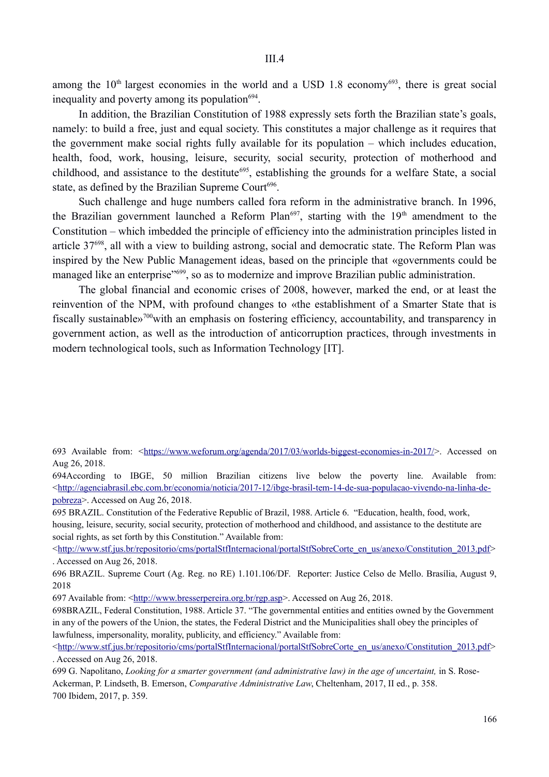among the  $10<sup>th</sup>$  largest economies in the world and a USD 1.8 economy<sup>693</sup>, there is great social inequality and poverty among its population $694$ .

In addition, the Brazilian Constitution of 1988 expressly sets forth the Brazilian state's goals, namely: to build a free, just and equal society. This constitutes a major challenge as it requires that the government make social rights fully available for its population – which includes education, health, food, work, housing, leisure, security, social security, protection of motherhood and childhood, and assistance to the destitute<sup>695</sup>, establishing the grounds for a welfare State, a social state, as defined by the Brazilian Supreme Court<sup>696</sup>.

Such challenge and huge numbers called fora reform in the administrative branch. In 1996, the Brazilian government launched a Reform Plan<sup>697</sup>, starting with the  $19<sup>th</sup>$  amendment to the Constitution – which imbedded the principle of efficiency into the administration principles listed in article 37698, all with a view to building astrong, social and democratic state. The Reform Plan was inspired by the New Public Management ideas, based on the principle that «governments could be managed like an enterprise"<sup>699</sup>, so as to modernize and improve Brazilian public administration.

The global financial and economic crises of 2008, however, marked the end, or at least the reinvention of the NPM, with profound changes to «the establishment of a Smarter State that is fiscally sustainable»<sup>700</sup>with an emphasis on fostering efficiency, accountability, and transparency in government action, as well as the introduction of anticorruption practices, through investments in modern technological tools, such as Information Technology [IT].

695 BRAZIL. Constitution of the Federative Republic of Brazil, 1988. Article 6. "Education, health, food, work, housing, leisure, security, social security, protection of motherhood and childhood, and assistance to the destitute are social rights, as set forth by this Constitution." Available from:

˂http://www.stf.jus.br/repositorio/cms/portalStfInternacional/portalStfSobreCorte\_en\_us/anexo/Constitution\_2013.pdf˃ . Accessed on Aug 26, 2018.

696 BRAZIL. Supreme Court (Ag. Reg. no RE) 1.101.106/DF. Reporter: Justice Celso de Mello. Brasília, August 9, 2018

697 Available from:  $\frac{\text{http://www.bresserpereira.org.br/rgb.asp>}}{\text{Accessed on Aug 26, 2018.}}$ 

698BRAZIL, Federal Constitution, 1988. Article 37. "The governmental entities and entities owned by the Government in any of the powers of the Union, the states, the Federal District and the Municipalities shall obey the principles of lawfulness, impersonality, morality, publicity, and efficiency." Available from:

<sup>693</sup> Available from:  $\langle \frac{https://www.weforum.org/agenda/2017/03/worlds-bigger-economics-in-2017/}{https://www.weforum.org/agenda/2017/03/worlds-bigger-economics-in-2017/}{https://www.weforum.org/agenda/2017/03/worlds-bigger-economics-in-2017/}{$ Aug 26, 2018.

<sup>694</sup>According to IBGE, 50 million Brazilian citizens live below the poverty line. Available from: <http://agenciabrasil.ebc.com.br/economia/noticia/2017-12/ibge-brasil-tem-14-de-sua-populacao-vivendo-na-linha-depobreza>. Accessed on Aug 26, 2018.

<sup>˂</sup>http://www.stf.jus.br/repositorio/cms/portalStfInternacional/portalStfSobreCorte\_en\_us/anexo/Constitution\_2013.pdf˃ . Accessed on Aug 26, 2018.

<sup>699</sup> G. Napolitano, *Looking for a smarter government (and administrative law) in the age of uncertaint,* in S. Rose-Ackerman, P. Lindseth, B. Emerson, *Comparative Administrative Law*, Cheltenham, 2017, II ed., p. 358. 700 Ibidem, 2017, p. 359.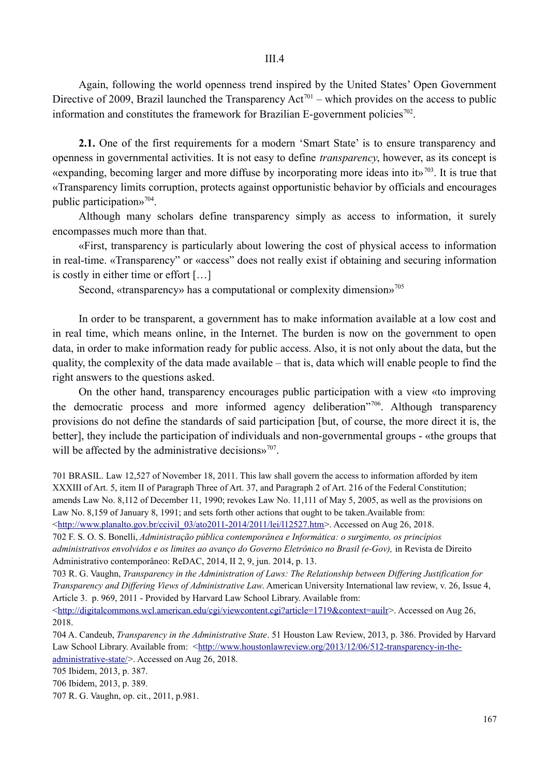Again, following the world openness trend inspired by the United States' Open Government Directive of 2009, Brazil launched the Transparency  $Act^{701}$  – which provides on the access to public information and constitutes the framework for Brazilian E-government policies<sup>702</sup>.

**2.1.** One of the first requirements for a modern 'Smart State' is to ensure transparency and openness in governmental activities. It is not easy to define *transparency*, however, as its concept is «expanding, becoming larger and more diffuse by incorporating more ideas into it»<sup>703</sup>. It is true that «Transparency limits corruption, protects against opportunistic behavior by officials and encourages public participation»704.

Although many scholars define transparency simply as access to information, it surely encompasses much more than that.

«First, transparency is particularly about lowering the cost of physical access to information in real-time. «Transparency" or «access" does not really exist if obtaining and securing information is costly in either time or effort […]

Second, «transparency» has a computational or complexity dimension»<sup>705</sup>

In order to be transparent, a government has to make information available at a low cost and in real time, which means online, in the Internet. The burden is now on the government to open data, in order to make information ready for public access. Also, it is not only about the data, but the quality, the complexity of the data made available – that is, data which will enable people to find the right answers to the questions asked.

On the other hand, transparency encourages public participation with a view «to improving the democratic process and more informed agency deliberation"706. Although transparency provisions do not define the standards of said participation [but, of course, the more direct it is, the better], they include the participation of individuals and non-governmental groups - «the groups that will be affected by the administrative decisions $v^{707}$ .

701 BRASIL. Law 12,527 of November 18, 2011. This law shall govern the access to information afforded by item XXXIII of Art. 5, item II of Paragraph Three of Art. 37, and Paragraph 2 of Art. 216 of the Federal Constitution; amends Law No. 8,112 of December 11, 1990; revokes Law No. 11,111 of May 5, 2005, as well as the provisions on Law No. 8,159 of January 8, 1991; and sets forth other actions that ought to be taken.Available from:

˂http://www.planalto.gov.br/ccivil\_03/ato2011-2014/2011/lei/l12527.htm˃. Accessed on Aug 26, 2018.

702 F. S. O. S. Bonelli, *Administração pública contemporânea e Informática: o surgimento, os princípios administrativos envolvidos e os limites ao avanço do Governo Eletrônico no Brasil (e-Gov),* in Revista de Direito Administrativo contemporâneo: ReDAC, 2014, II 2, 9, jun. 2014, p. 13.

703 R. G. Vaughn, *Transparency in the Administration of Laws: The Relationship between Differing Justification for Transparency and Differing Views of Administrative Law*. American University International law review, v. 26, Issue 4, Article 3. p. 969, 2011 - Provided by Harvard Law School Library. Available from:

˂http://digitalcommons.wcl.american.edu/cgi/viewcontent.cgi?article=1719&context=auilr˃. Accessed on Aug 26, 2018.

704 A. Candeub, *Transparency in the Administrative State*. 51 Houston Law Review, 2013, p. 386. Provided by Harvard Law School Library. Available from:  $\frac{\text{http://www.houstonlawreview.org/2013/12/06/512-transparency-in-the-}}{1}$ administrative-state/ $>$ . Accessed on Aug 26, 2018.

705 Ibidem, 2013, p. 387.

706 Ibidem, 2013, p. 389.

707 R. G. Vaughn, op. cit., 2011, p.981.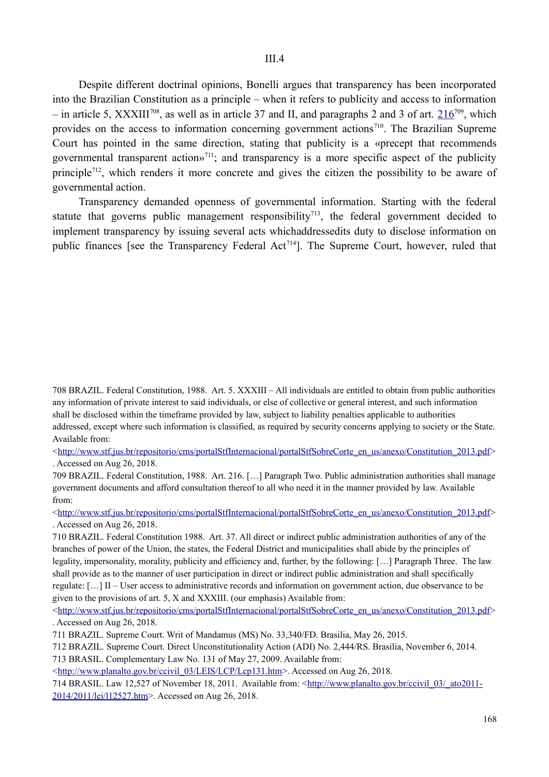Despite different doctrinal opinions, Bonelli argues that transparency has been incorporated into the Brazilian Constitution as a principle – when it refers to publicity and access to information – in article 5, XXXIII<sup>708</sup>, as well as in article 37 and II, and paragraphs 2 and 3 of art.  $216^{709}$ , which provides on the access to information concerning government actions<sup>710</sup>. The Brazilian Supreme Court has pointed in the same direction, stating that publicity is a «precept that recommends governmental transparent actions<sup>711</sup>; and transparency is a more specific aspect of the publicity principle<sup>712</sup>, which renders it more concrete and gives the citizen the possibility to be aware of governmental action.

Transparency demanded openness of governmental information. Starting with the federal statute that governs public management responsibility<sup>713</sup>, the federal government decided to implement transparency by issuing several acts whichaddressedits duty to disclose information on public finances [see the Transparency Federal  $Act^{714}$ ]. The Supreme Court, however, ruled that

708 BRAZIL. Federal Constitution, 1988. Art. 5. XXXIII – All individuals are entitled to obtain from public authorities any information of private interest to said individuals, or else of collective or general interest, and such information shall be disclosed within the timeframe provided by law, subject to liability penalties applicable to authorities addressed, except where such information is classified, as required by security concerns applying to society or the State. Available from:

 $\langle \frac{\text{http://www.stf.jus.br/reposition/cms/portalStfInternational/portalStfSobreCorte en us/anexo/Constitution 2013.pdf}}$ . Accessed on Aug 26, 2018.

709 BRAZIL. Federal Constitution, 1988. Art. 216. […] Paragraph Two. Public administration authorities shall manage government documents and afford consultation thereof to all who need it in the manner provided by law. Available from:

<http://www.stf.jus.br/repositorio/cms/portalStfInternacional/portalStfSobreCorte\_en\_us/anexo/Constitution\_2013.pdf> . Accessed on Aug 26, 2018.

710 BRAZIL. Federal Constitution 1988. Art. 37. All direct or indirect public administration authorities of any of the branches of power of the Union, the states, the Federal District and municipalities shall abide by the principles of legality, impersonality, morality, publicity and efficiency and, further, by the following: […] Paragraph Three. The law shall provide as to the manner of user participation in direct or indirect public administration and shall specifically regulate: […] II – User access to administrative records and information on government action, due observance to be given to the provisions of art. 5, X and XXXIII. (our emphasis) Available from:

 $\text{thtn:}}$ /www.stf.jus.br/repositorio/cms/portalStfInternacional/portalStfSobreCorte\_en\_us/anexo/Constitution\_2013.pdf> . Accessed on Aug 26, 2018.

711 BRAZIL. Supreme Court. Writ of Mandamus (MS) No. 33,340/FD. Brasilia, May 26, 2015.

712 BRAZIL. Supreme Court. Direct Unconstitutionality Action (ADI) No. 2,444/RS. Brasilia, November 6, 2014.

713 BRASIL. Complementary Law No. 131 of May 27, 2009. Available from:

˂http://www.planalto.gov.br/ccivil\_03/LEIS/LCP/Lcp131.htm˃. Accessed on Aug 26, 2018.

714 BRASIL. Law 12,527 of November 18, 2011. Available from: ˂http://www.planalto.gov.br/ccivil\_03/\_ato2011- 2014/2011/lei/l12527.htm>. Accessed on Aug 26, 2018.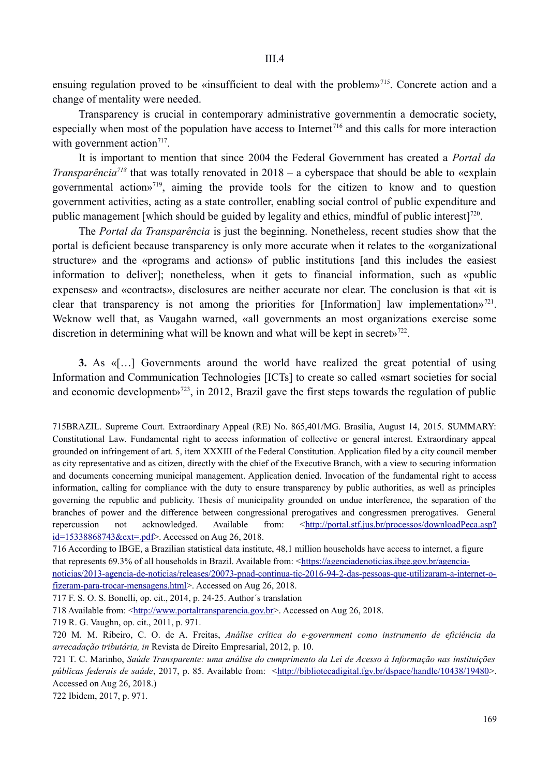ensuing regulation proved to be «insufficient to deal with the problem»<sup>715</sup>. Concrete action and a change of mentality were needed.

Transparency is crucial in contemporary administrative governmentin a democratic society, especially when most of the population have access to Internet<sup> $716$ </sup> and this calls for more interaction with government action<sup>717</sup>.

It is important to mention that since 2004 the Federal Government has created a *Portal da Transparência*<sup>718</sup> that was totally renovated in 2018 – a cyberspace that should be able to «explain governmental action»719, aiming the provide tools for the citizen to know and to question government activities, acting as a state controller, enabling social control of public expenditure and public management [which should be guided by legality and ethics, mindful of public interest]<sup>720</sup>.

The *Portal da Transparência* is just the beginning. Nonetheless, recent studies show that the portal is deficient because transparency is only more accurate when it relates to the «organizational structure» and the «programs and actions» of public institutions [and this includes the easiest information to deliver]; nonetheless, when it gets to financial information, such as «public expenses» and «contracts», disclosures are neither accurate nor clear. The conclusion is that «it is clear that transparency is not among the priorities for [Information] law implementation»<sup>721</sup>. Weknow well that, as Vaugahn warned, «all governments an most organizations exercise some discretion in determining what will be known and what will be kept in secrety<sup>722</sup>.

**3.** As «[…] Governments around the world have realized the great potential of using Information and Communication Technologies [ICTs] to create so called «smart societies for social and economic developments<sup> $723$ </sup>, in 2012, Brazil gave the first steps towards the regulation of public

715BRAZIL. Supreme Court. Extraordinary Appeal (RE) No. 865,401/MG. Brasilia, August 14, 2015. SUMMARY: Constitutional Law. Fundamental right to access information of collective or general interest. Extraordinary appeal grounded on infringement of art. 5, item XXXIII of the Federal Constitution. Application filed by a city council member as city representative and as citizen, directly with the chief of the Executive Branch, with a view to securing information and documents concerning municipal management. Application denied. Invocation of the fundamental right to access information, calling for compliance with the duty to ensure transparency by public authorities, as well as principles governing the republic and publicity. Thesis of municipality grounded on undue interference, the separation of the branches of power and the difference between congressional prerogatives and congressmen prerogatives. General repercussion not acknowledged. Available from:  $\langle \frac{http://portal.stf.jus.br/processos/downloadPeca asp?}\rangle$ id=15338868743&ext=.pdf>. Accessed on Aug 26, 2018.

716 According to IBGE, a Brazilian statistical data institute, 48,1 million households have access to internet, a figure that represents 69.3% of all households in Brazil. Available from: <https://agenciadenoticias.ibge.gov.br/agencianoticias/2013-agencia-de-noticias/releases/20073-pnad-continua-tic-2016-94-2-das-pessoas-que-utilizaram-a-internet-ofizeram-para-trocar-mensagens.html>. Accessed on Aug 26, 2018.

717 F. S. O. S. Bonelli, op. cit., 2014, p. 24-25. Author´s translation

718 Available from: <http://www.portaltransparencia.gov.br>. Accessed on Aug 26, 2018.

719 R. G. Vaughn, op. cit., 2011, p. 971.

720 M. M. Ribeiro, C. O. de A. Freitas, *Análise crítica do e-government como instrumento de eficiência da arrecadação tributária, in* Revista de Direito Empresarial, 2012, p. 10.

721 T. C. Marinho, *Saúde Transparente: uma análise do cumprimento da Lei de Acesso à Informação nas instituições públicas federais de saúde*, 2017, p. 85. Available from: <http://bibliotecadigital.fgv.br/dspace/handle/10438/19480>. Accessed on Aug 26, 2018.)

722 Ibidem, 2017, p. 971.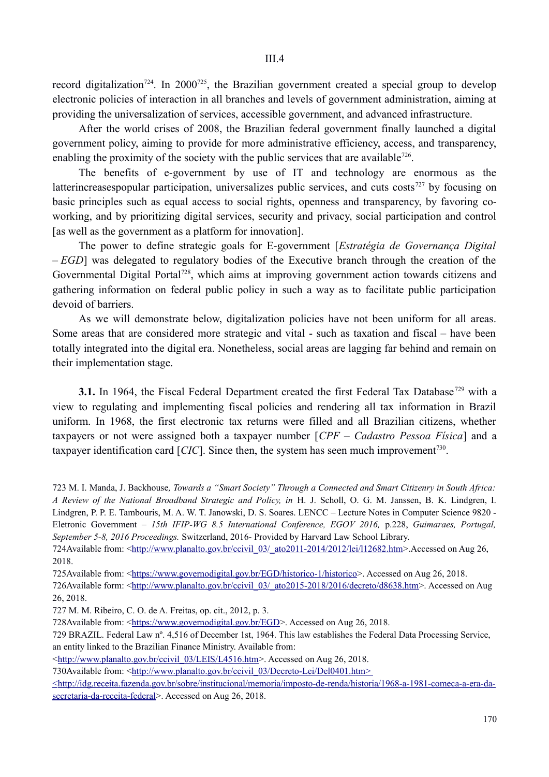record digitalization<sup>724</sup>. In 2000<sup>725</sup>, the Brazilian government created a special group to develop electronic policies of interaction in all branches and levels of government administration, aiming at providing the universalization of services, accessible government, and advanced infrastructure.

After the world crises of 2008, the Brazilian federal government finally launched a digital government policy, aiming to provide for more administrative efficiency, access, and transparency, enabling the proximity of the society with the public services that are available<sup>726</sup>.

The benefits of e-government by use of IT and technology are enormous as the latterincreasespopular participation, universalizes public services, and cuts costs<sup>727</sup> by focusing on basic principles such as equal access to social rights, openness and transparency, by favoring coworking, and by prioritizing digital services, security and privacy, social participation and control [as well as the government as a platform for innovation].

The power to define strategic goals for E-government [*Estratégia de Governança Digital – EGD*] was delegated to regulatory bodies of the Executive branch through the creation of the Governmental Digital Portal<sup>728</sup>, which aims at improving government action towards citizens and gathering information on federal public policy in such a way as to facilitate public participation devoid of barriers.

As we will demonstrate below, digitalization policies have not been uniform for all areas. Some areas that are considered more strategic and vital - such as taxation and fiscal – have been totally integrated into the digital era. Nonetheless, social areas are lagging far behind and remain on their implementation stage.

**3.1.** In 1964, the Fiscal Federal Department created the first Federal Tax Database<sup>729</sup> with a view to regulating and implementing fiscal policies and rendering all tax information in Brazil uniform. In 1968, the first electronic tax returns were filled and all Brazilian citizens, whether taxpayers or not were assigned both a taxpayer number [*CPF – Cadastro Pessoa Física*] and a taxpayer identification card  $[CIC]$ . Since then, the system has seen much improvement<sup>730</sup>.

723 M. I. Manda, J. Backhouse*, Towards a "Smart Society" Through a Connected and Smart Citizenry in South Africa: A Review of the National Broadband Strategic and Policy, in* H. J. Scholl, O. G. M. Janssen, B. K. Lindgren, I. Lindgren, P. P. E. Tambouris, M. A. W. T. Janowski, D. S. Soares. LENCC – Lecture Notes in Computer Science 9820 - Eletronic Government *– 15th IFIP-WG 8.5 International Conference, EGOV 2016,* p.228, *Guimaraes, Portugal, September 5-8, 2016 Proceedings.* Switzerland, 2016- Provided by Harvard Law School Library.

724Available from: <http://www.planalto.gov.br/ccivil 03/\_ato2011-2014/2012/lei/l12682.htm>.Accessed on Aug 26, 2018.

725Available from: <https://www.governodigital.gov.br/EGD/historico-1/historico>. Accessed on Aug 26, 2018.

726Available form: <http://www.planalto.gov.br/ccivil\_03/\_ato2015-2018/2016/decreto/d8638.htm>. Accessed on Aug 26, 2018.

727 M. M. Ribeiro, C. O. de A. Freitas, op. cit., 2012, p. 3.

728Available from: <https://www.governodigital.gov.br/EGD>. Accessed on Aug 26, 2018.

729 BRAZIL. Federal Law nº. 4,516 of December 1st, 1964. This law establishes the Federal Data Processing Service, an entity linked to the Brazilian Finance Ministry. Available from:

<http://www.planalto.gov.br/ccivil\_03/LEIS/L4516.htm>. Accessed on Aug 26, 2018.

730Available from: <http://www.planalto.gov.br/ccivil\_03/Decreto-Lei/Del0401.htm>

 ˂http://idg.receita.fazenda.gov.br/sobre/institucional/memoria/imposto-de-renda/historia/1968-a-1981-comeca-a-era-dasecretaria-da-receita-federal>. Accessed on Aug 26, 2018.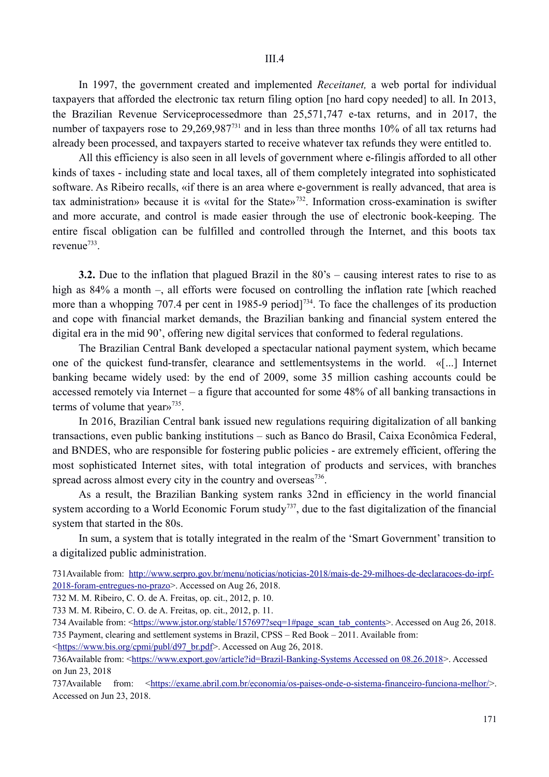In 1997, the government created and implemented *Receitanet,* a web portal for individual taxpayers that afforded the electronic tax return filing option [no hard copy needed] to all. In 2013, the Brazilian Revenue Serviceprocessedmore than 25,571,747 e-tax returns, and in 2017, the number of taxpayers rose to 29,269,987<sup>731</sup> and in less than three months 10% of all tax returns had already been processed, and taxpayers started to receive whatever tax refunds they were entitled to.

All this efficiency is also seen in all levels of government where e-filingis afforded to all other kinds of taxes - including state and local taxes, all of them completely integrated into sophisticated software. As Ribeiro recalls, «if there is an area where e-government is really advanced, that area is tax administration» because it is «vital for the State»732. Information cross-examination is swifter and more accurate, and control is made easier through the use of electronic book-keeping. The entire fiscal obligation can be fulfilled and controlled through the Internet, and this boots tax revenue733.

**3.2.** Due to the inflation that plagued Brazil in the 80's – causing interest rates to rise to as high as  $84\%$  a month –, all efforts were focused on controlling the inflation rate [which reached more than a whopping 707.4 per cent in 1985-9 period<sup> $734$ </sup>. To face the challenges of its production and cope with financial market demands, the Brazilian banking and financial system entered the digital era in the mid 90', offering new digital services that conformed to federal regulations.

The Brazilian Central Bank developed a spectacular national payment system, which became one of the quickest fund-transfer, clearance and settlementsystems in the world. «[...] Internet banking became widely used: by the end of 2009, some 35 million cashing accounts could be accessed remotely via Internet – a figure that accounted for some 48% of all banking transactions in terms of volume that year»<sup>735</sup>.

In 2016, Brazilian Central bank issued new regulations requiring digitalization of all banking transactions, even public banking institutions – such as Banco do Brasil, Caixa Econômica Federal, and BNDES, who are responsible for fostering public policies - are extremely efficient, offering the most sophisticated Internet sites, with total integration of products and services, with branches spread across almost every city in the country and overseas $^{736}$ .

As a result, the Brazilian Banking system ranks 32nd in efficiency in the world financial system according to a World Economic Forum study<sup>737</sup>, due to the fast digitalization of the financial system that started in the 80s.

In sum, a system that is totally integrated in the realm of the 'Smart Government' transition to a digitalized public administration.

731Available from: http://www.serpro.gov.br/menu/noticias/noticias-2018/mais-de-29-milhoes-de-declaracoes-do-irpf-2018-foram-entregues-no-prazo>. Accessed on Aug 26, 2018.

732 M. M. Ribeiro, C. O. de A. Freitas, op. cit., 2012, p. 10.

733 M. M. Ribeiro, C. O. de A. Freitas, op. cit., 2012, p. 11.

734 Available from: <https://www.jstor.org/stable/157697?seq=1#page\_scan\_tab\_contents>. Accessed on Aug 26, 2018. 735 Payment, clearing and settlement systems in Brazil, CPSS – Red Book – 2011. Available from:

<https://www.bis.org/cpmi/publ/d97\_br.pdf>. Accessed on Aug 26, 2018.

736Available from: <https://www.export.gov/article?id=Brazil-Banking-Systems Accessed on 08.26.2018>. Accessed on Jun 23, 2018

737Available from: <https://exame.abril.com.br/economia/os-paises-onde-o-sistema-financeiro-funciona-melhor/>. Accessed on Jun 23, 2018.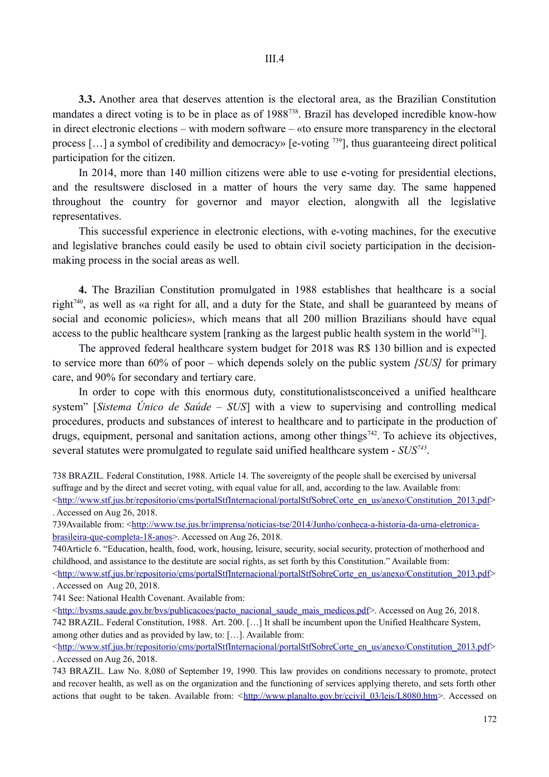**3.3.** Another area that deserves attention is the electoral area, as the Brazilian Constitution mandates a direct voting is to be in place as of 1988738. Brazil has developed incredible know-how in direct electronic elections – with modern software – «to ensure more transparency in the electoral process […] a symbol of credibility and democracy» [e-voting 739], thus guaranteeing direct political participation for the citizen.

In 2014, more than 140 million citizens were able to use e-voting for presidential elections, and the resultswere disclosed in a matter of hours the very same day. The same happened throughout the country for governor and mayor election, alongwith all the legislative representatives.

This successful experience in electronic elections, with e-voting machines, for the executive and legislative branches could easily be used to obtain civil society participation in the decisionmaking process in the social areas as well.

**4.** The Brazilian Constitution promulgated in 1988 establishes that healthcare is a social right740, as well as «a right for all, and a duty for the State, and shall be guaranteed by means of social and economic policies», which means that all 200 million Brazilians should have equal access to the public healthcare system [ranking as the largest public health system in the world $741$ ].

The approved federal healthcare system budget for 2018 was R\$ 130 billion and is expected to service more than 60% of poor – which depends solely on the public system *[SUS]* for primary care, and 90% for secondary and tertiary care.

In order to cope with this enormous duty, constitutionalistsconceived a unified healthcare system" [*Sistema Único de Saúde – SUS*] with a view to supervising and controlling medical procedures, products and substances of interest to healthcare and to participate in the production of drugs, equipment, personal and sanitation actions, among other things<sup>742</sup>. To achieve its objectives, several statutes were promulgated to regulate said unified healthcare system - *SUS743*.

738 BRAZIL. Federal Constitution, 1988. Article 14. The sovereignty of the people shall be exercised by universal suffrage and by the direct and secret voting, with equal value for all, and, according to the law. Available from:

 $\text{thtn:}/\text{www.stf.}$ jus.br/repositorio/cms/portalStfInternacional/portalStfSobreCorte\_en\_us/anexo/Constitution\_2013.pdf> . Accessed on Aug 26, 2018.

739Available from: <http://www.tse.jus.br/imprensa/noticias-tse/2014/Junho/conheca-a-historia-da-urna-eletronicabrasileira-que-completa-18-anos>. Accessed on Aug 26, 2018.

740Article 6. "Education, health, food, work, housing, leisure, security, social security, protection of motherhood and childhood, and assistance to the destitute are social rights, as set forth by this Constitution." Available from: <http://www.stf.jus.br/repositorio/cms/portalStfInternacional/portalStfSobreCorte\_en\_us/anexo/Constitution\_2013.pdf> . Accessed on Aug 20, 2018.

741 See: National Health Covenant. Available from:

<http://bvsms.saude.gov.br/bvs/publicacoes/pacto\_nacional\_saude\_mais\_medicos.pdf>. Accessed on Aug 26, 2018. 742 BRAZIL. Federal Constitution, 1988. Art. 200. […] It shall be incumbent upon the Unified Healthcare System, among other duties and as provided by law, to: […]. Available from:

<http://www.stf.jus.br/repositorio/cms/portalStfInternacional/portalStfSobreCorte\_en\_us/anexo/Constitution\_2013.pdf> . Accessed on Aug 26, 2018.

743 BRAZIL. Law No. 8,080 of September 19, 1990. This law provides on conditions necessary to promote, protect and recover health, as well as on the organization and the functioning of services applying thereto, and sets forth other actions that ought to be taken. Available from: <http://www.planalto.gov.br/ccivil 03/leis/L8080.htm>. Accessed on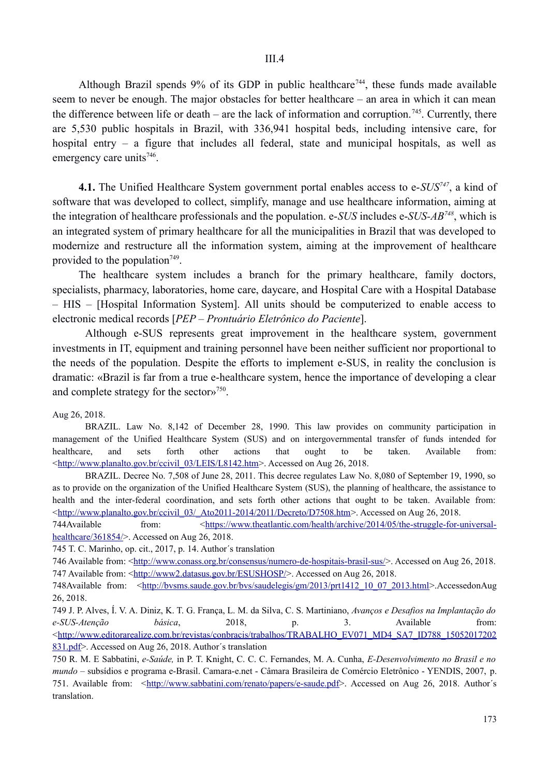Although Brazil spends  $9\%$  of its GDP in public healthcare<sup>744</sup>, these funds made available seem to never be enough. The major obstacles for better healthcare – an area in which it can mean the difference between life or death – are the lack of information and corruption.<sup>745</sup>. Currently, there are 5,530 public hospitals in Brazil, with 336,941 hospital beds, including intensive care, for hospital entry – a figure that includes all federal, state and municipal hospitals, as well as emergency care units<sup>746</sup>.

**4.1.** The Unified Healthcare System government portal enables access to e-*SUS747*, a kind of software that was developed to collect, simplify, manage and use healthcare information, aiming at the integration of healthcare professionals and the population. e-*SUS* includes e-*SUS-AB748*, which is an integrated system of primary healthcare for all the municipalities in Brazil that was developed to modernize and restructure all the information system, aiming at the improvement of healthcare provided to the population<sup> $749$ </sup>.

The healthcare system includes a branch for the primary healthcare, family doctors, specialists, pharmacy, laboratories, home care, daycare, and Hospital Care with a Hospital Database – HIS – [Hospital Information System]. All units should be computerized to enable access to electronic medical records [*PEP – Prontuário Eletrônico do Paciente*].

Although e-SUS represents great improvement in the healthcare system, government investments in IT, equipment and training personnel have been neither sufficient nor proportional to the needs of the population. Despite the efforts to implement e-SUS, in reality the conclusion is dramatic: «Brazil is far from a true e-healthcare system, hence the importance of developing a clear and complete strategy for the sector»750.

Aug 26, 2018.

BRAZIL. Law No. 8,142 of December 28, 1990. This law provides on community participation in management of the Unified Healthcare System (SUS) and on intergovernmental transfer of funds intended for healthcare, and sets forth other actions that ought to be taken. Available from: <http://www.planalto.gov.br/ccivil\_03/LEIS/L8142.htm>. Accessed on Aug 26, 2018.

BRAZIL. Decree No. 7,508 of June 28, 2011. This decree regulates Law No. 8,080 of September 19, 1990, so as to provide on the organization of the Unified Healthcare System (SUS), the planning of healthcare, the assistance to health and the inter-federal coordination, and sets forth other actions that ought to be taken. Available from: <http://www.planalto.gov.br/ccivil\_03/\_Ato2011-2014/2011/Decreto/D7508.htm>. Accessed on Aug 26, 2018.

744Available from:  $\leq$ https://www.theatlantic.com/health/archive/2014/05/the-struggle-for-universalhealthcare/361854/>. Accessed on Aug 26, 2018.

745 T. C. Marinho, op. cit., 2017, p. 14. Author´s translation

746 Available from: <http://www.conass.org.br/consensus/numero-de-hospitais-brasil-sus/>. Accessed on Aug 26, 2018. 747 Available from: <http://www2.datasus.gov.br/ESUSHOSP/>. Accessed on Aug 26, 2018.

748Available from: <http://bvsms.saude.gov.br/bvs/saudelegis/gm/2013/prt1412\_10\_07\_2013.html>.AccessedonAug 26, 2018.

749 J. P. Alves, Í. V. A. Diniz, K. T. G. França, L. M. da Silva, C. S. Martiniano, *Avanços e Desafios na Implantação do e-SUS-Atenção básica*, 2018, p. 3. Available from:  $\leq$ http://www.editorarealize.com.br/revistas/conbracis/trabalhos/TRABALHO\_EV071\_MD4\_SA7\_ID788\_15052017202 831.pdf>. Accessed on Aug 26, 2018. Author´s translation

750 R. M. E Sabbatini, *e-Saúde,* in P. T. Knight, C. C. C. Fernandes, M. A. Cunha, *E-Desenvolvimento no Brasil e no mundo* – subsídios e programa e-Brasil. Camara-e.net - Câmara Brasileira de Comércio Eletrônico - YENDIS, 2007, p. 751. Available from: <http://www.sabbatini.com/renato/papers/e-saude.pdf>. Accessed on Aug 26, 2018. Author´s translation.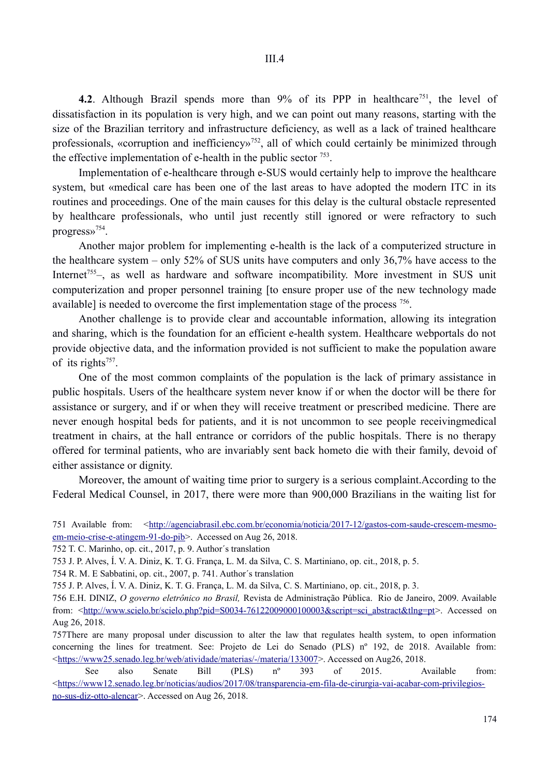**4.2.** Although Brazil spends more than 9% of its PPP in healthcare<sup>751</sup>, the level of dissatisfaction in its population is very high, and we can point out many reasons, starting with the size of the Brazilian territory and infrastructure deficiency, as well as a lack of trained healthcare professionals, «corruption and inefficiency»<sup>752</sup>, all of which could certainly be minimized through the effective implementation of e-health in the public sector  $753$ .

Implementation of e-healthcare through e-SUS would certainly help to improve the healthcare system, but «medical care has been one of the last areas to have adopted the modern ITC in its routines and proceedings. One of the main causes for this delay is the cultural obstacle represented by healthcare professionals, who until just recently still ignored or were refractory to such progress»754.

Another major problem for implementing e-health is the lack of a computerized structure in the healthcare system – only 52% of SUS units have computers and only 36,7% have access to the Internet<sup>755</sup>–, as well as hardware and software incompatibility. More investment in SUS unit computerization and proper personnel training [to ensure proper use of the new technology made available] is needed to overcome the first implementation stage of the process 756.

Another challenge is to provide clear and accountable information, allowing its integration and sharing, which is the foundation for an efficient e-health system. Healthcare webportals do not provide objective data, and the information provided is not sufficient to make the population aware of its rights<sup>757</sup>.

One of the most common complaints of the population is the lack of primary assistance in public hospitals. Users of the healthcare system never know if or when the doctor will be there for assistance or surgery, and if or when they will receive treatment or prescribed medicine. There are never enough hospital beds for patients, and it is not uncommon to see people receivingmedical treatment in chairs, at the hall entrance or corridors of the public hospitals. There is no therapy offered for terminal patients, who are invariably sent back hometo die with their family, devoid of either assistance or dignity.

Moreover, the amount of waiting time prior to surgery is a serious complaint.According to the Federal Medical Counsel, in 2017, there were more than 900,000 Brazilians in the waiting list for

751 Available from: <http://agenciabrasil.ebc.com.br/economia/noticia/2017-12/gastos-com-saude-crescem-mesmoem-meio-crise-e-atingem-91-do-pib>. Accessed on Aug 26, 2018.

752 T. C. Marinho, op. cit., 2017, p. 9. Author´s translation

754 R. M. E Sabbatini, op. cit., 2007, p. 741. Author´s translation

755 J. P. Alves, Í. V. A. Diniz, K. T. G. França, L. M. da Silva, C. S. Martiniano, op. cit., 2018, p. 3.

756 E.H. DINIZ, *O governo eletrônico no Brasil,* Revista de Administração Pública. Rio de Janeiro, 2009. Available from: <http://www.scielo.br/scielo.php?pid=S0034-76122009000100003&script=sci\_abstract&tlng=pt>. Accessed on Aug 26, 2018.

757There are many proposal under discussion to alter the law that regulates health system, to open information concerning the lines for treatment. See: Projeto de Lei do Senado (PLS) nº 192, de 2018. Available from:  $\lt$ https://www25.senado.leg.br/web/atividade/materias/-/materia/133007>. Accessed on Aug26, 2018.

See also Senate Bill (PLS) nº 393 of 2015. Available from:  $\lt$ https://www12.senado.leg.br/noticias/audios/2017/08/transparencia-em-fila-de-cirurgia-vai-acabar-com-privilegiosno-sus-diz-otto-alencar>. Accessed on Aug 26, 2018.

<sup>753</sup> J. P. Alves, Í. V. A. Diniz, K. T. G. França, L. M. da Silva, C. S. Martiniano, op. cit., 2018, p. 5.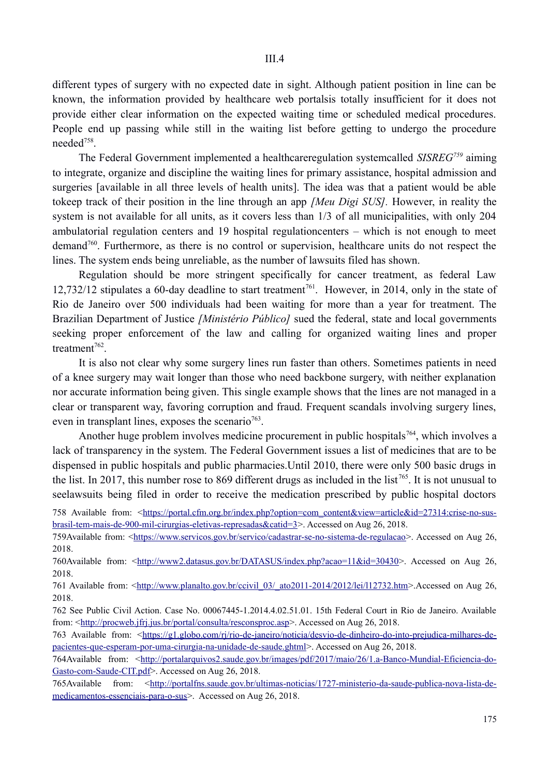different types of surgery with no expected date in sight. Although patient position in line can be known, the information provided by healthcare web portalsis totally insufficient for it does not provide either clear information on the expected waiting time or scheduled medical procedures. People end up passing while still in the waiting list before getting to undergo the procedure needed758.

The Federal Government implemented a healthcareregulation systemcalled *SISREG759* aiming to integrate, organize and discipline the waiting lines for primary assistance, hospital admission and surgeries [available in all three levels of health units]. The idea was that a patient would be able tokeep track of their position in the line through an app *[Meu Digi SUS].* However, in reality the system is not available for all units, as it covers less than 1/3 of all municipalities, with only 204 ambulatorial regulation centers and 19 hospital regulationcenters – which is not enough to meet demand<sup>760</sup>. Furthermore, as there is no control or supervision, healthcare units do not respect the lines. The system ends being unreliable, as the number of lawsuits filed has shown.

Regulation should be more stringent specifically for cancer treatment, as federal Law  $12,732/12$  stipulates a 60-day deadline to start treatment<sup>761</sup>. However, in 2014, only in the state of Rio de Janeiro over 500 individuals had been waiting for more than a year for treatment. The Brazilian Department of Justice *[Ministério Público]* sued the federal, state and local governments seeking proper enforcement of the law and calling for organized waiting lines and proper treatment<sup>762</sup>

It is also not clear why some surgery lines run faster than others. Sometimes patients in need of a knee surgery may wait longer than those who need backbone surgery, with neither explanation nor accurate information being given. This single example shows that the lines are not managed in a clear or transparent way, favoring corruption and fraud. Frequent scandals involving surgery lines, even in transplant lines, exposes the scenario<sup>763</sup>.

Another huge problem involves medicine procurement in public hospitals<sup>764</sup>, which involves a lack of transparency in the system. The Federal Government issues a list of medicines that are to be dispensed in public hospitals and public pharmacies.Until 2010, there were only 500 basic drugs in the list. In 2017, this number rose to 869 different drugs as included in the list 765. It is not unusual to seelawsuits being filed in order to receive the medication prescribed by public hospital doctors

760Available from: <http://www2.datasus.gov.br/DATASUS/index.php?acao=11&id=30430>. Accessed on Aug 26, 2018.

761 Available from: <http://www.planalto.gov.br/ccivil 03/ ato2011-2014/2012/lei/l12732.htm>.Accessed on Aug 26, 2018.

762 See Public Civil Action. Case No. 00067445-1.2014.4.02.51.01. 15th Federal Court in Rio de Janeiro. Available from:  $\frac{\text{http://procweb.jfri.jus.br/portal/consulta/rescosproc asp>}}{$ . Accessed on Aug 26, 2018.

763 Available from: <https://g1.globo.com/rj/rio-de-janeiro/noticia/desvio-de-dinheiro-do-into-prejudica-milhares-depacientes-que-esperam-por-uma-cirurgia-na-unidade-de-saude.ghtml>. Accessed on Aug 26, 2018.

764Available from: <http://portalarquivos2.saude.gov.br/images/pdf/2017/maio/26/1.a-Banco-Mundial-Eficiencia-do-Gasto-com-Saude-CIT.pdf>. Accessed on Aug 26, 2018.

765Available from: <http://portalfns.saude.gov.br/ultimas-noticias/1727-ministerio-da-saude-publica-nova-lista-demedicamentos-essenciais-para-o-sus>. Accessed on Aug 26, 2018.

<sup>758</sup> Available from: <https://portal.cfm.org.br/index.php?option=com\_content&view=article&id=27314:crise-no-susbrasil-tem-mais-de-900-mil-cirurgias-eletivas-represadas&catid=3>. Accessed on Aug 26, 2018.

<sup>759</sup>Available from: <https://www.servicos.gov.br/servico/cadastrar-se-no-sistema-de-regulacao>. Accessed on Aug 26, 2018.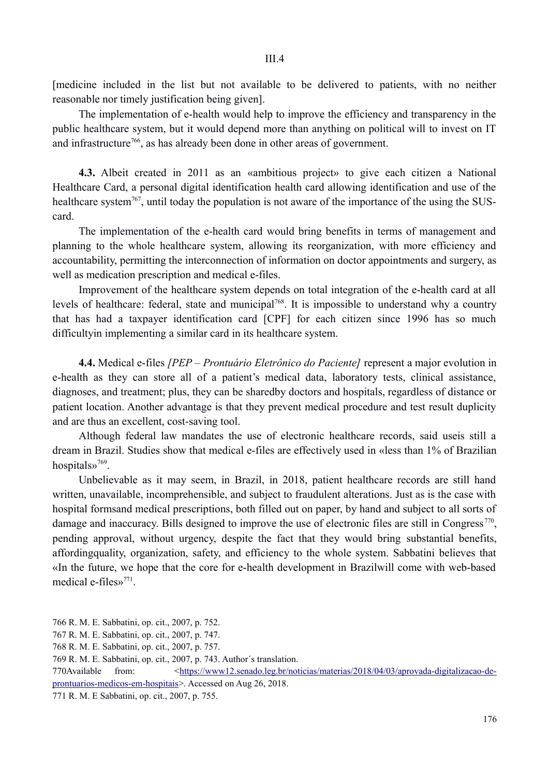[medicine included in the list but not available to be delivered to patients, with no neither reasonable nor timely justification being given].

The implementation of e-health would help to improve the efficiency and transparency in the public healthcare system, but it would depend more than anything on political will to invest on IT and infrastructure<sup>766</sup>, as has already been done in other areas of government.

**4.3.** Albeit created in 2011 as an «ambitious project» to give each citizen a National Healthcare Card, a personal digital identification health card allowing identification and use of the healthcare system<sup>767</sup>, until today the population is not aware of the importance of the using the SUScard.

The implementation of the e-health card would bring benefits in terms of management and planning to the whole healthcare system, allowing its reorganization, with more efficiency and accountability, permitting the interconnection of information on doctor appointments and surgery, as well as medication prescription and medical e-files.

Improvement of the healthcare system depends on total integration of the e-health card at all levels of healthcare: federal, state and municipal<sup>768</sup>. It is impossible to understand why a country that has had a taxpayer identification card [CPF] for each citizen since 1996 has so much difficultyin implementing a similar card in its healthcare system.

**4.4.** Medical e-files *[PEP – Prontuário Eletrônico do Paciente]* represent a major evolution in e-health as they can store all of a patient's medical data, laboratory tests, clinical assistance, diagnoses, and treatment; plus, they can be sharedby doctors and hospitals, regardless of distance or patient location. Another advantage is that they prevent medical procedure and test result duplicity and are thus an excellent, cost-saving tool.

Although federal law mandates the use of electronic healthcare records, said useis still a dream in Brazil. Studies show that medical e-files are effectively used in «less than 1% of Brazilian hospitals»769.

Unbelievable as it may seem, in Brazil, in 2018, patient healthcare records are still hand written, unavailable, incomprehensible, and subject to fraudulent alterations. Just as is the case with hospital formsand medical prescriptions, both filled out on paper, by hand and subject to all sorts of damage and inaccuracy. Bills designed to improve the use of electronic files are still in Congress<sup>770</sup>, pending approval, without urgency, despite the fact that they would bring substantial benefits, affordingquality, organization, safety, and efficiency to the whole system. Sabbatini believes that «In the future, we hope that the core for e-health development in Brazilwill come with web-based medical e-files»771.

<sup>766</sup> R. M. E. Sabbatini, op. cit., 2007, p. 752.

<sup>767</sup> R. M. E. Sabbatini, op. cit., 2007, p. 747.

<sup>768</sup> R. M. E. Sabbatini, op. cit., 2007, p. 757.

<sup>769</sup> R. M. E. Sabbatini, op. cit., 2007, p. 743. Author´s translation.

<sup>770</sup>Available from: <https://www12.senado.leg.br/noticias/materias/2018/04/03/aprovada-digitalizacao-deprontuarios-medicos-em-hospitais>. Accessed on Aug 26, 2018.

<sup>771</sup> R. M. E Sabbatini, op. cit., 2007, p. 755.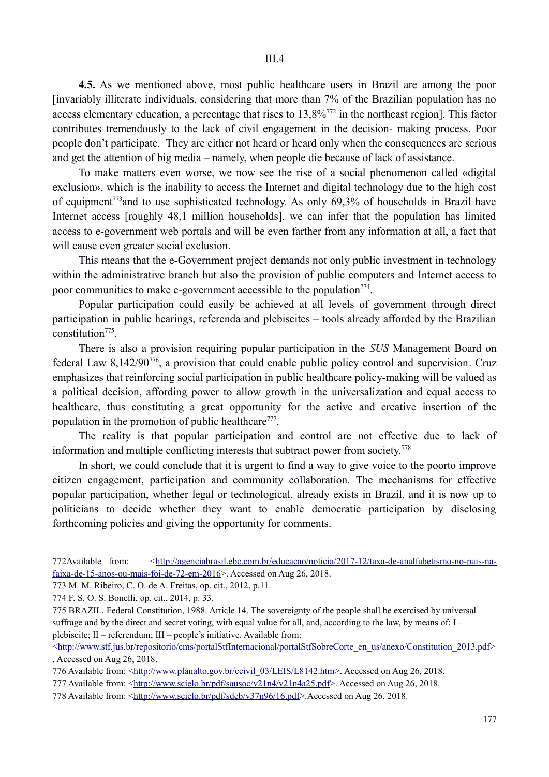**4.5.** As we mentioned above, most public healthcare users in Brazil are among the poor [invariably illiterate individuals, considering that more than 7% of the Brazilian population has no access elementary education, a percentage that rises to 13,8%772 in the northeast region]. This factor contributes tremendously to the lack of civil engagement in the decision- making process. Poor people don't participate. They are either not heard or heard only when the consequences are serious and get the attention of big media – namely, when people die because of lack of assistance.

To make matters even worse, we now see the rise of a social phenomenon called «digital exclusion», which is the inability to access the Internet and digital technology due to the high cost of equipment773and to use sophisticated technology. As only 69,3% of households in Brazil have Internet access [roughly 48,1 million households], we can infer that the population has limited access to e-government web portals and will be even farther from any information at all, a fact that will cause even greater social exclusion.

This means that the e-Government project demands not only public investment in technology within the administrative branch but also the provision of public computers and Internet access to poor communities to make e-government accessible to the population<sup> $774$ </sup>.

Popular participation could easily be achieved at all levels of government through direct participation in public hearings, referenda and plebiscites – tools already afforded by the Brazilian constitution<sup>775</sup>.

There is also a provision requiring popular participation in the *SUS* Management Board on federal Law 8,142/90776, a provision that could enable public policy control and supervision. Cruz emphasizes that reinforcing social participation in public healthcare policy-making will be valued as a political decision, affording power to allow growth in the universalization and equal access to healthcare, thus constituting a great opportunity for the active and creative insertion of the population in the promotion of public healthcare $^{777}$ .

The reality is that popular participation and control are not effective due to lack of information and multiple conflicting interests that subtract power from society.778

In short, we could conclude that it is urgent to find a way to give voice to the poorto improve citizen engagement, participation and community collaboration. The mechanisms for effective popular participation, whether legal or technological, already exists in Brazil, and it is now up to politicians to decide whether they want to enable democratic participation by disclosing forthcoming policies and giving the opportunity for comments.

<sup>772</sup>Available from: <http://agenciabrasil.ebc.com.br/educacao/noticia/2017-12/taxa-de-analfabetismo-no-pais-nafaixa-de-15-anos-ou-mais-foi-de-72-em-2016>. Accessed on Aug 26, 2018.

<sup>773</sup> M. M. Ribeiro, C. O. de A. Freitas, op. cit., 2012, p.11.

<sup>774</sup> F. S. O. S. Bonelli, op. cit., 2014, p. 33.

<sup>775</sup> BRAZIL. Federal Constitution, 1988. Article 14. The sovereignty of the people shall be exercised by universal suffrage and by the direct and secret voting, with equal value for all, and, according to the law, by means of: I – plebiscite; II – referendum; III – people's initiative. Available from:

<sup>&</sup>lt;http://www.stf.jus.br/repositorio/cms/portalStfInternacional/portalStfSobreCorte\_en\_us/anexo/Constitution\_2013.pdf> . Accessed on Aug 26, 2018.

<sup>776</sup> Available from: <http://www.planalto.gov.br/ccivil\_03/LEIS/L8142.htm>. Accessed on Aug 26, 2018.

<sup>777</sup> Available from: <http://www.scielo.br/pdf/sausoc/v21n4/v21n4a25.pdf>. Accessed on Aug 26, 2018.

<sup>778</sup> Available from: <http://www.scielo.br/pdf/sdeb/v37n96/16.pdf>.Accessed on Aug 26, 2018.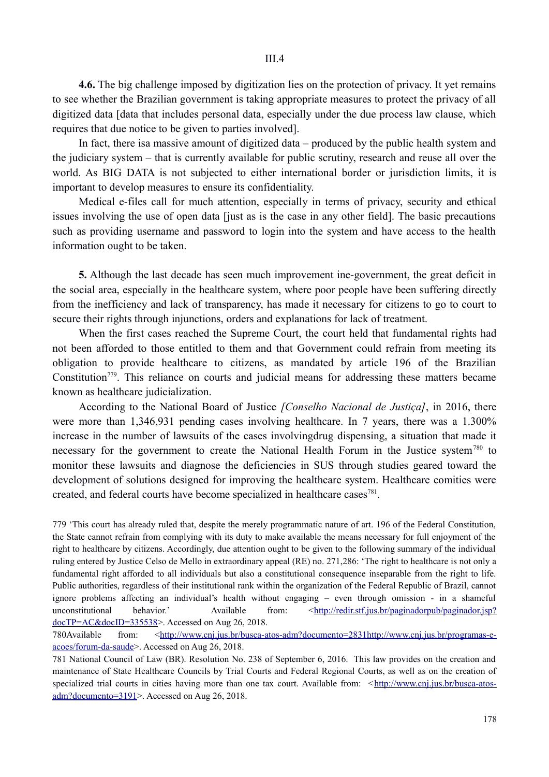**4.6.** The big challenge imposed by digitization lies on the protection of privacy. It yet remains to see whether the Brazilian government is taking appropriate measures to protect the privacy of all digitized data [data that includes personal data, especially under the due process law clause, which requires that due notice to be given to parties involved].

In fact, there isa massive amount of digitized data – produced by the public health system and the judiciary system – that is currently available for public scrutiny, research and reuse all over the world. As BIG DATA is not subjected to either international border or jurisdiction limits, it is important to develop measures to ensure its confidentiality.

Medical e-files call for much attention, especially in terms of privacy, security and ethical issues involving the use of open data [just as is the case in any other field]. The basic precautions such as providing username and password to login into the system and have access to the health information ought to be taken.

**5.** Although the last decade has seen much improvement ine-government, the great deficit in the social area, especially in the healthcare system, where poor people have been suffering directly from the inefficiency and lack of transparency, has made it necessary for citizens to go to court to secure their rights through injunctions, orders and explanations for lack of treatment.

When the first cases reached the Supreme Court, the court held that fundamental rights had not been afforded to those entitled to them and that Government could refrain from meeting its obligation to provide healthcare to citizens, as mandated by article 196 of the Brazilian Constitution<sup>779</sup>. This reliance on courts and judicial means for addressing these matters became known as healthcare judicialization.

According to the National Board of Justice *[Conselho Nacional de Justiça]*, in 2016, there were more than 1,346,931 pending cases involving healthcare. In 7 years, there was a 1,300% increase in the number of lawsuits of the cases involvingdrug dispensing, a situation that made it necessary for the government to create the National Health Forum in the Justice system<sup>780</sup> to monitor these lawsuits and diagnose the deficiencies in SUS through studies geared toward the development of solutions designed for improving the healthcare system. Healthcare comities were created, and federal courts have become specialized in healthcare cases<sup>781</sup>.

779 'This court has already ruled that, despite the merely programmatic nature of art. 196 of the Federal Constitution, the State cannot refrain from complying with its duty to make available the means necessary for full enjoyment of the right to healthcare by citizens. Accordingly, due attention ought to be given to the following summary of the individual ruling entered by Justice Celso de Mello in extraordinary appeal (RE) no. 271,286: 'The right to healthcare is not only a fundamental right afforded to all individuals but also a constitutional consequence inseparable from the right to life. Public authorities, regardless of their institutional rank within the organization of the Federal Republic of Brazil, cannot ignore problems affecting an individual's health without engaging – even through omission - in a shameful unconstitutional behavior.' Available from:  $\langle \frac{http://redir.stf.jus.br/paginadorpub/paginador.jsp?}\rangle$ docTP=AC&docID=335538>. Accessed on Aug 26, 2018.

780Available from: <http://www.cnj.jus.br/busca-atos-adm?documento=2831http://www.cnj.jus.br/programas-eacoes/forum-da-saude>. Accessed on Aug 26, 2018.

781 National Council of Law (BR). Resolution No. 238 of September 6, 2016. This law provides on the creation and maintenance of State Healthcare Councils by Trial Courts and Federal Regional Courts, as well as on the creation of specialized trial courts in cities having more than one tax court. Available from:  $\lt$ http://www.cnj.jus.br/busca-atosadm?documento=3191 >. Accessed on Aug 26, 2018.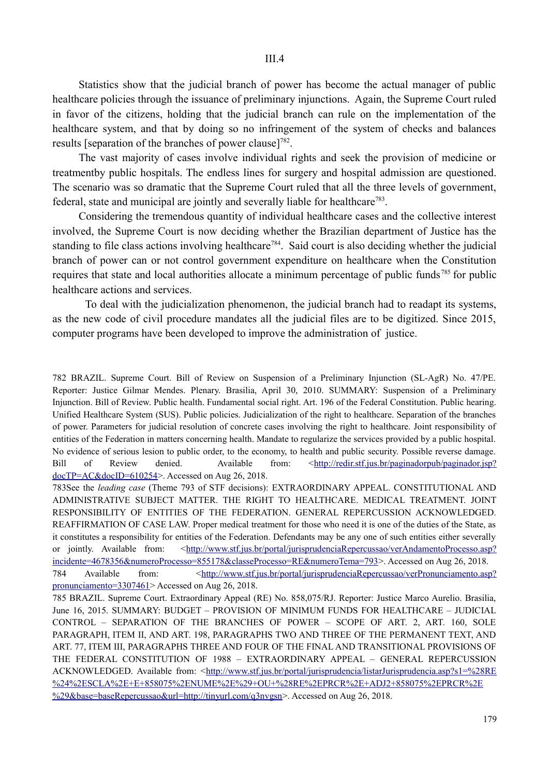Statistics show that the judicial branch of power has become the actual manager of public healthcare policies through the issuance of preliminary injunctions. Again, the Supreme Court ruled in favor of the citizens, holding that the judicial branch can rule on the implementation of the healthcare system, and that by doing so no infringement of the system of checks and balances results [separation of the branches of power clause]<sup>782</sup>.

The vast majority of cases involve individual rights and seek the provision of medicine or treatmentby public hospitals. The endless lines for surgery and hospital admission are questioned. The scenario was so dramatic that the Supreme Court ruled that all the three levels of government, federal, state and municipal are jointly and severally liable for healthcare<sup>783</sup>.

Considering the tremendous quantity of individual healthcare cases and the collective interest involved, the Supreme Court is now deciding whether the Brazilian department of Justice has the standing to file class actions involving healthcare<sup>784</sup>. Said court is also deciding whether the judicial branch of power can or not control government expenditure on healthcare when the Constitution requires that state and local authorities allocate a minimum percentage of public funds<sup>785</sup> for public healthcare actions and services.

To deal with the judicialization phenomenon, the judicial branch had to readapt its systems, as the new code of civil procedure mandates all the judicial files are to be digitized. Since 2015, computer programs have been developed to improve the administration of justice.

782 BRAZIL. Supreme Court. Bill of Review on Suspension of a Preliminary Injunction (SL-AgR) No. 47/PE. Reporter: Justice Gilmar Mendes. Plenary. Brasilia, April 30, 2010. SUMMARY: Suspension of a Preliminary Injunction. Bill of Review. Public health. Fundamental social right. Art. 196 of the Federal Constitution. Public hearing. Unified Healthcare System (SUS). Public policies. Judicialization of the right to healthcare. Separation of the branches of power. Parameters for judicial resolution of concrete cases involving the right to healthcare. Joint responsibility of entities of the Federation in matters concerning health. Mandate to regularize the services provided by a public hospital. No evidence of serious lesion to public order, to the economy, to health and public security. Possible reverse damage. Bill of Review denied. Available from: <http://redir.stf.jus.br/paginadorpub/paginador.jsp?  $docTP=AC&docID=610254>$ . Accessed on Aug 26, 2018.

783See the *leading case* (Theme 793 of STF decisions): EXTRAORDINARY APPEAL. CONSTITUTIONAL AND ADMINISTRATIVE SUBJECT MATTER. THE RIGHT TO HEALTHCARE. MEDICAL TREATMENT. JOINT RESPONSIBILITY OF ENTITIES OF THE FEDERATION. GENERAL REPERCUSSION ACKNOWLEDGED. REAFFIRMATION OF CASE LAW. Proper medical treatment for those who need it is one of the duties of the State, as it constitutes a responsibility for entities of the Federation. Defendants may be any one of such entities either severally or jointly. Available from: <http://www.stf.jus.br/portal/jurisprudenciaRepercussao/verAndamentoProcesso.asp? incidente=4678356&numeroProcesso=855178&classeProcesso=RE&numeroTema=793>. Accessed on Aug 26, 2018. 784 Available from:  $\langle \frac{http://www.stf.jus.br/portal/jurisprudenciaRepercussao/verPronunciamento.asp?}\rangle$ pronunciamento=3307461> Accessed on Aug 26, 2018.

785 BRAZIL. Supreme Court. Extraordinary Appeal (RE) No. 858,075/RJ. Reporter: Justice Marco Aurelio. Brasilia, June 16, 2015. SUMMARY: BUDGET – PROVISION OF MINIMUM FUNDS FOR HEALTHCARE – JUDICIAL CONTROL – SEPARATION OF THE BRANCHES OF POWER – SCOPE OF ART. 2, ART. 160, SOLE PARAGRAPH, ITEM II, AND ART. 198, PARAGRAPHS TWO AND THREE OF THE PERMANENT TEXT, AND ART. 77, ITEM III, PARAGRAPHS THREE AND FOUR OF THE FINAL AND TRANSITIONAL PROVISIONS OF THE FEDERAL CONSTITUTION OF 1988 – EXTRAORDINARY APPEAL – GENERAL REPERCUSSION ACKNOWLEDGED. Available from: ˂http://www.stf.jus.br/portal/jurisprudencia/listarJurisprudencia.asp?s1=%28RE %24%2ESCLA%2E+E+858075%2ENUME%2E%29+OU+%28RE%2EPRCR%2E+ADJ2+858075%2EPRCR%2E %29&base=baseRepercussao&url=http://tinyurl.com/q3nvgsn>. Accessed on Aug 26, 2018.